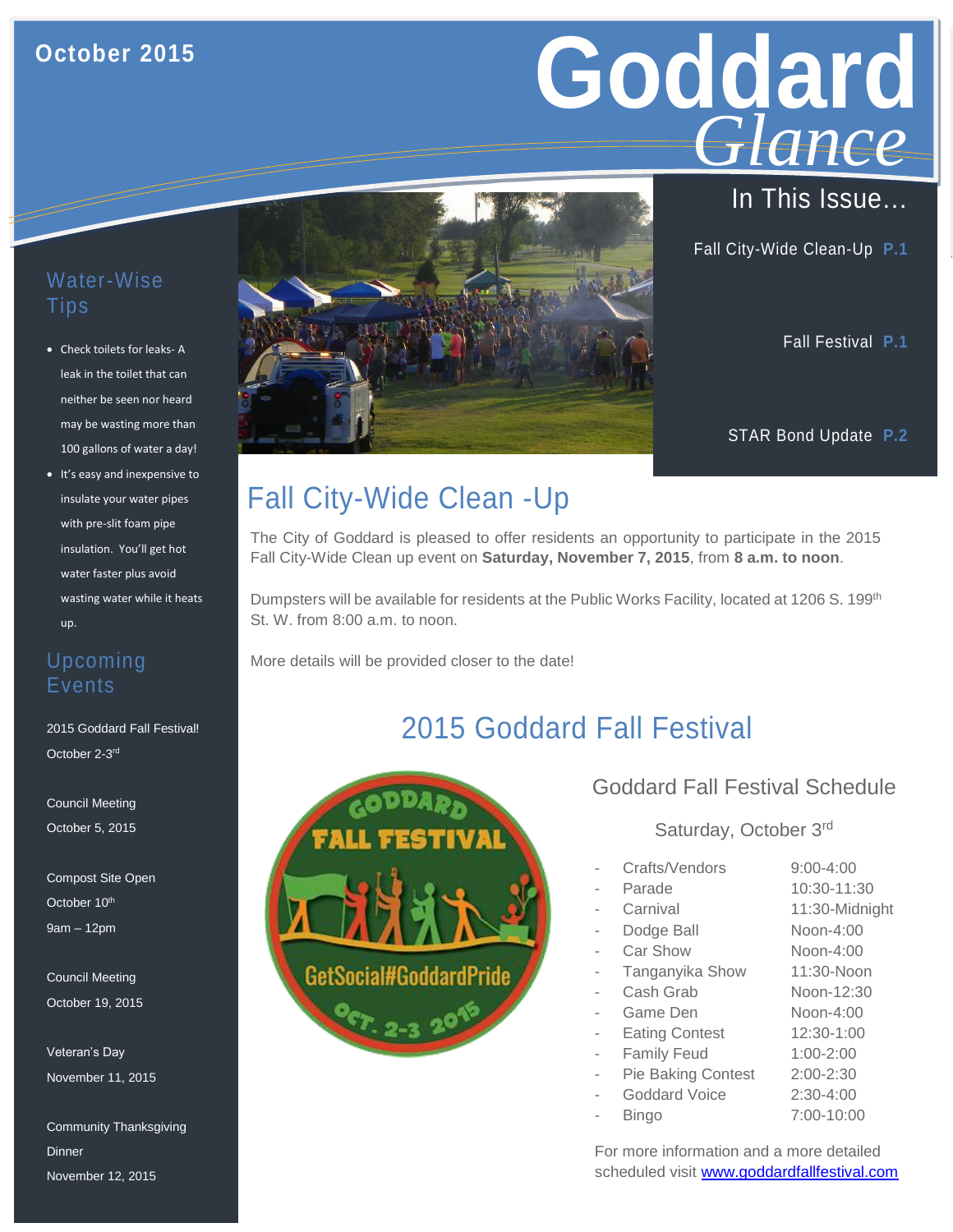## **October 2015**

# Goddard **GIGNICE** *Glance*

Fall City-Wide Clean-Up **P.1**

Fall Festival **P.1**

STAR Bond Update **P.2**

#### Water-Wise Tips

- Check toilets for leaks- A leak in the toilet that can neither be seen nor heard may be wasting more than 100 gallons of water a day!
- wasting water while it heats • It's easy and inexpensive to insulate your water pipes with pre-slit foam pipe insulation. You'll get hot water faster plus avoid up.

#### Upcoming Events

b 2015 Goddard Fall Festival! October 2-3<sup>rd</sup>

Council Meeting October 5, 2015

Compost Site Open October 10<sup>th</sup> 9am – 12pm

Council Meeting October 19, 2015

Veteran's Day November 11, 2015

Community Thanksgiving **Dinner** November 12, 2015

# Fall City-Wide Clean -Up

The City of Goddard is pleased to offer residents an opportunity to participate in the 2015 Fall City-Wide Clean up event on **Saturday, November 7, 2015**, from **8 a.m. to noon**.

Dumpsters will be available for residents at the Public Works Facility, located at 1206 S. 199<sup>th</sup> St. W. from 8:00 a.m. to noon.

More details will be provided closer to the date!

# 2015 Goddard Fall Festival



### Goddard Fall Festival Schedule

#### Saturday, October 3rd

| Crafts/Vendors            | $9:00 - 4:00$  |
|---------------------------|----------------|
| Parade                    | 10:30-11:30    |
| Carnival                  | 11:30-Midnight |
| Dodge Ball                | Noon-4:00      |
| Car Show                  | Noon-4:00      |
| Tanganyika Show           | 11:30-Noon     |
| Cash Grab                 | Noon-12:30     |
| Game Den                  | Noon-4:00      |
| <b>Eating Contest</b>     | 12:30-1:00     |
| <b>Family Feud</b>        | $1:00 - 2:00$  |
| <b>Pie Baking Contest</b> | $2:00 - 2:30$  |
| Goddard Voice             | $2:30-4:00$    |
| Bingo                     | 7:00-10:00     |
|                           |                |

For more information and a more detailed scheduled visit [www.goddardfallfestival.com](http://www.goddardfallfestival.com/)